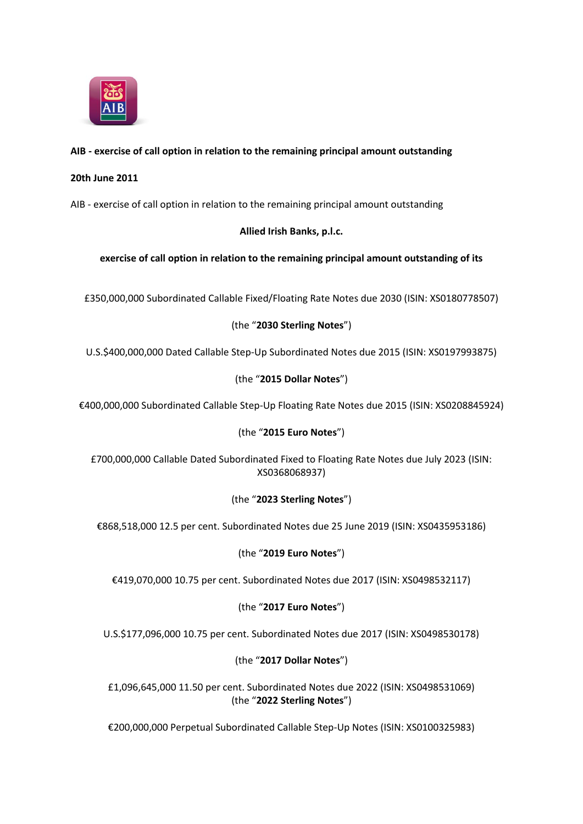

# **AIB - exercise of call option in relation to the remaining principal amount outstanding**

#### **20th June 2011**

AIB - exercise of call option in relation to the remaining principal amount outstanding

# **Allied Irish Banks, p.l.c.**

#### **exercise of call option in relation to the remaining principal amount outstanding of its**

£350,000,000 Subordinated Callable Fixed/Floating Rate Notes due 2030 (ISIN: XS0180778507)

# (the "**2030 Sterling Notes**")

U.S.\$400,000,000 Dated Callable Step-Up Subordinated Notes due 2015 (ISIN: XS0197993875)

# (the "**2015 Dollar Notes**")

€400,000,000 Subordinated Callable Step-Up Floating Rate Notes due 2015 (ISIN: XS0208845924)

# (the "**2015 Euro Notes**")

£700,000,000 Callable Dated Subordinated Fixed to Floating Rate Notes due July 2023 (ISIN: XS0368068937)

# (the "**2023 Sterling Notes**")

€868,518,000 12.5 per cent. Subordinated Notes due 25 June 2019 (ISIN: XS0435953186)

# (the "**2019 Euro Notes**")

€419,070,000 10.75 per cent. Subordinated Notes due 2017 (ISIN: XS0498532117)

# (the "**2017 Euro Notes**")

U.S.\$177,096,000 10.75 per cent. Subordinated Notes due 2017 (ISIN: XS0498530178)

# (the "**2017 Dollar Notes**")

£1,096,645,000 11.50 per cent. Subordinated Notes due 2022 (ISIN: XS0498531069) (the "**2022 Sterling Notes**")

€200,000,000 Perpetual Subordinated Callable Step-Up Notes (ISIN: XS0100325983)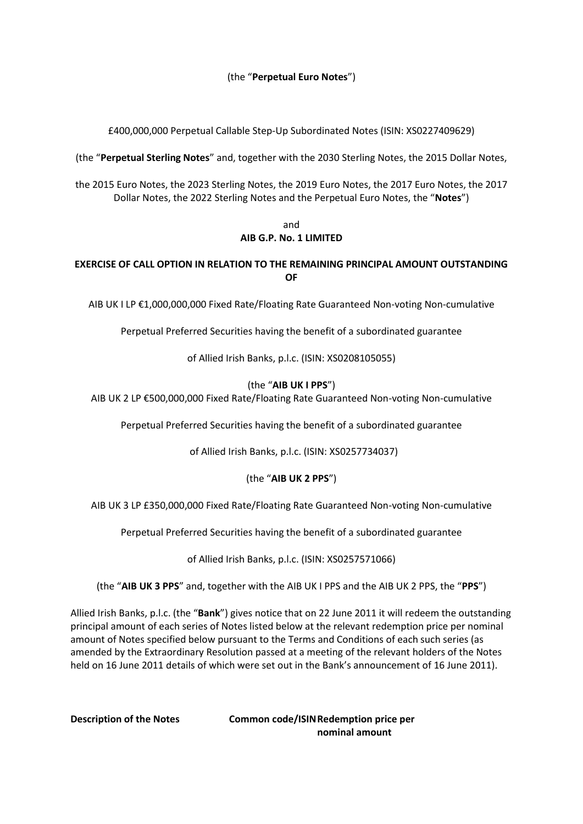(the "**Perpetual Euro Notes**")

£400,000,000 Perpetual Callable Step-Up Subordinated Notes (ISIN: XS0227409629)

(the "**Perpetual Sterling Notes**" and, together with the 2030 Sterling Notes, the 2015 Dollar Notes,

the 2015 Euro Notes, the 2023 Sterling Notes, the 2019 Euro Notes, the 2017 Euro Notes, the 2017 Dollar Notes, the 2022 Sterling Notes and the Perpetual Euro Notes, the "**Notes**")

#### and **AIB G.P. No. 1 LIMITED**

#### **EXERCISE OF CALL OPTION IN RELATION TO THE REMAINING PRINCIPAL AMOUNT OUTSTANDING OF**

AIB UK I LP €1,000,000,000 Fixed Rate/Floating Rate Guaranteed Non-voting Non-cumulative

Perpetual Preferred Securities having the benefit of a subordinated guarantee

of Allied Irish Banks, p.l.c. (ISIN: XS0208105055)

#### (the "**AIB UK I PPS**")

AIB UK 2 LP €500,000,000 Fixed Rate/Floating Rate Guaranteed Non-voting Non-cumulative

Perpetual Preferred Securities having the benefit of a subordinated guarantee

of Allied Irish Banks, p.l.c. (ISIN: XS0257734037)

#### (the "**AIB UK 2 PPS**")

AIB UK 3 LP £350,000,000 Fixed Rate/Floating Rate Guaranteed Non-voting Non-cumulative

Perpetual Preferred Securities having the benefit of a subordinated guarantee

of Allied Irish Banks, p.l.c. (ISIN: XS0257571066)

(the "**AIB UK 3 PPS**" and, together with the AIB UK I PPS and the AIB UK 2 PPS, the "**PPS**")

Allied Irish Banks, p.l.c. (the "**Bank**") gives notice that on 22 June 2011 it will redeem the outstanding principal amount of each series of Notes listed below at the relevant redemption price per nominal amount of Notes specified below pursuant to the Terms and Conditions of each such series (as amended by the Extraordinary Resolution passed at a meeting of the relevant holders of the Notes held on 16 June 2011 details of which were set out in the Bank's announcement of 16 June 2011).

**Description of the Notes Common code/ISINRedemption price per nominal amount**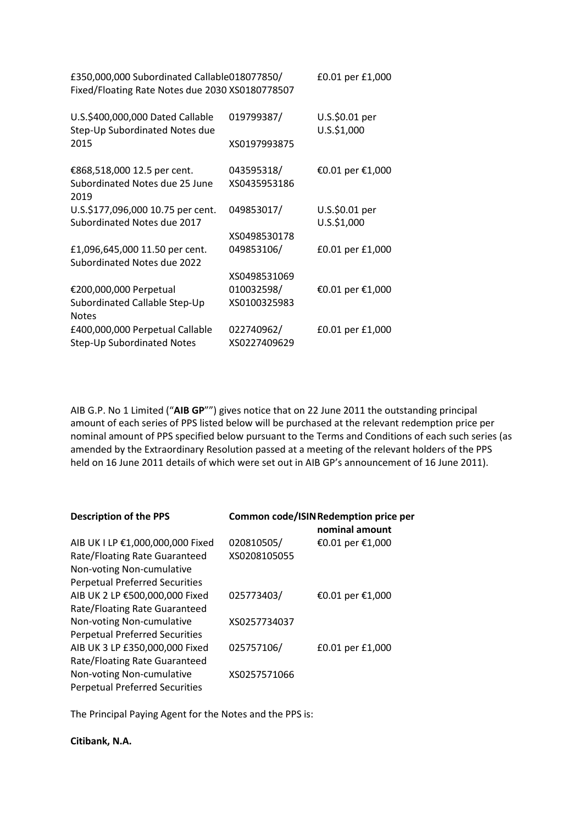| £350,000,000 Subordinated Callable018077850/<br>Fixed/Floating Rate Notes due 2030 XS0180778507 |              | £0.01 per £1,000              |
|-------------------------------------------------------------------------------------------------|--------------|-------------------------------|
| U.S.\$400,000,000 Dated Callable<br>Step-Up Subordinated Notes due                              | 019799387/   | U.S.\$0.01 per<br>U.S.\$1,000 |
| 2015                                                                                            | XS0197993875 |                               |
| €868,518,000 12.5 per cent.                                                                     | 043595318/   | €0.01 per €1,000              |
| Subordinated Notes due 25 June<br>2019                                                          | XS0435953186 |                               |
| U.S.\$177,096,000 10.75 per cent.<br>Subordinated Notes due 2017                                | 049853017/   | U.S.\$0.01 per<br>U.S.\$1,000 |
|                                                                                                 | XS0498530178 |                               |
| £1,096,645,000 11.50 per cent.<br>Subordinated Notes due 2022                                   | 049853106/   | £0.01 per £1,000              |
|                                                                                                 | XS0498531069 |                               |
| €200,000,000 Perpetual                                                                          | 010032598/   | €0.01 per €1,000              |
| Subordinated Callable Step-Up<br><b>Notes</b>                                                   | XS0100325983 |                               |
| £400,000,000 Perpetual Callable                                                                 | 022740962/   | £0.01 per £1,000              |
| Step-Up Subordinated Notes                                                                      | XS0227409629 |                               |

AIB G.P. No 1 Limited ("**AIB GP**"") gives notice that on 22 June 2011 the outstanding principal amount of each series of PPS listed below will be purchased at the relevant redemption price per nominal amount of PPS specified below pursuant to the Terms and Conditions of each such series (as amended by the Extraordinary Resolution passed at a meeting of the relevant holders of the PPS held on 16 June 2011 details of which were set out in AIB GP's announcement of 16 June 2011).

| <b>Description of the PPS</b>         |              | Common code/ISIN Redemption price per<br>nominal amount |
|---------------------------------------|--------------|---------------------------------------------------------|
| AIB UK I LP €1,000,000,000 Fixed      | 020810505/   | €0.01 per €1,000                                        |
| Rate/Floating Rate Guaranteed         | XS0208105055 |                                                         |
| Non-voting Non-cumulative             |              |                                                         |
| <b>Perpetual Preferred Securities</b> |              |                                                         |
| AIB UK 2 LP €500,000,000 Fixed        | 025773403/   | €0.01 per €1,000                                        |
| Rate/Floating Rate Guaranteed         |              |                                                         |
| Non-voting Non-cumulative             | XS0257734037 |                                                         |
| <b>Perpetual Preferred Securities</b> |              |                                                         |
| AIB UK 3 LP £350,000,000 Fixed        | 025757106/   | £0.01 per £1,000                                        |
| Rate/Floating Rate Guaranteed         |              |                                                         |
| Non-voting Non-cumulative             | XS0257571066 |                                                         |
| <b>Perpetual Preferred Securities</b> |              |                                                         |

The Principal Paying Agent for the Notes and the PPS is:

**Citibank, N.A.**